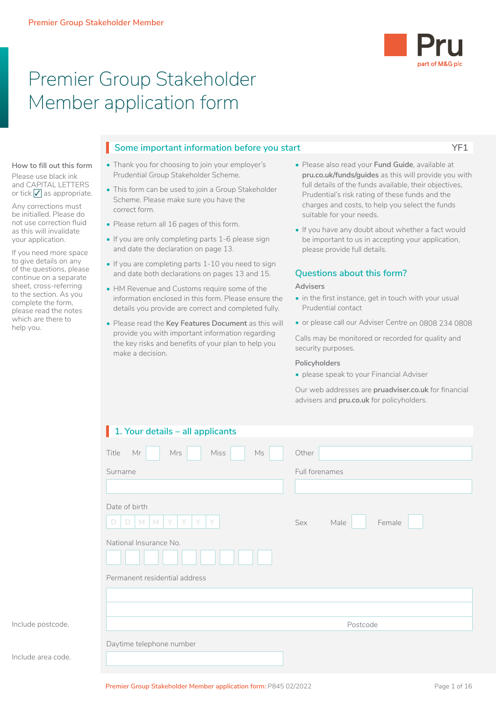

# Premier Group Stakeholder Member application form

### **Some important information before you start YF1** I

#### **How to fill out this form** Please use black ink and CAPITAL LETTERS or tick  $\sqrt{\ }$  as appropriate.

Any corrections must be initialled. Please do not use correction fluid as this will invalidate your application.

If you need more space to give details on any of the questions, please continue on a separate sheet, cross-referring to the section. As you complete the form, please read the notes which are there to help you.

- Thank you for choosing to join your employer's Prudential Group Stakeholder Scheme.
- This form can be used to join a Group Stakeholder Scheme. Please make sure you have the correct form.
- Please return all 16 pages of this form.
- If you are only completing parts 1-6 please sign and date the declaration on page 13.
- If you are completing parts 1-10 you need to sign and date both declarations on pages 13 and 15.
- HM Revenue and Customs require some of the information enclosed in this form. Please ensure the details you provide are correct and completed fully.
- Please read the **Key Features Document** as this will provide you with important information regarding the key risks and benefits of your plan to help you make a decision.
- Please also read your **Fund Guide**, available at **pru.co.uk/funds/guides** as this will provide you with full details of the funds available, their objectives, Prudential's risk rating of these funds and the charges and costs, to help you select the funds suitable for your needs.
- If you have any doubt about whether a fact would be important to us in accepting your application, please provide full details.

### **Questions about this form?**

### **Advisers**

- in the first instance, get in touch with your usual Prudential contact
- or please call our Adviser Centre on 0808 234 0808

Calls may be monitored or recorded for quality and security purposes.

### **Policyholders**

• please speak to your Financial Adviser

Our web addresses are **pruadviser.co.uk** for financial advisers and **pru.co.uk** for policyholders.

| Other<br>Full forenames<br>Sex<br>Male<br>Female |
|--------------------------------------------------|
|                                                  |
|                                                  |
|                                                  |
|                                                  |
|                                                  |
| Postcode                                         |
|                                                  |

Include postcode.

Include area code.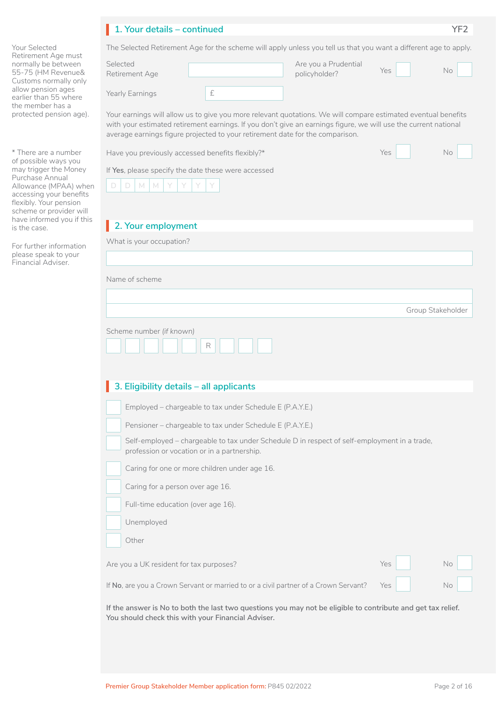# **1. Your details – continued YF2** I

Your Selected Retirement Age must normally be between 55-75 (HM Revenue& Customs normally only allow pension ages earlier than 55 where the member has a protected pension age).

\* There are a number of possible ways you may trigger the Money Purchase Annual Allowance (MPAA) when accessing your benefits flexibly. Your pension scheme or provider will have informed you if this is the case.

For further information please speak to your Financial Adviser.

|                                         | The Selected Retirement Age for the scheme will apply unless you tell us that you want a different age to apply.                                                                                                                                                                                                  |                                       |     |                   |
|-----------------------------------------|-------------------------------------------------------------------------------------------------------------------------------------------------------------------------------------------------------------------------------------------------------------------------------------------------------------------|---------------------------------------|-----|-------------------|
| Selected<br>Retirement Age              |                                                                                                                                                                                                                                                                                                                   | Are you a Prudential<br>policyholder? | Yes | No                |
| Yearly Earnings                         | £                                                                                                                                                                                                                                                                                                                 |                                       |     |                   |
|                                         | Your earnings will allow us to give you more relevant quotations. We will compare estimated eventual benefits<br>with your estimated retirement earnings. If you don't give an earnings figure, we will use the current national<br>average earnings figure projected to your retirement date for the comparison. |                                       |     |                   |
|                                         | Have you previously accessed benefits flexibly?*                                                                                                                                                                                                                                                                  |                                       | Yes | <b>No</b>         |
|                                         | If Yes, please specify the date these were accessed                                                                                                                                                                                                                                                               |                                       |     |                   |
| D<br>M<br>M<br>D                        |                                                                                                                                                                                                                                                                                                                   |                                       |     |                   |
|                                         |                                                                                                                                                                                                                                                                                                                   |                                       |     |                   |
| 2. Your employment                      |                                                                                                                                                                                                                                                                                                                   |                                       |     |                   |
| What is your occupation?                |                                                                                                                                                                                                                                                                                                                   |                                       |     |                   |
|                                         |                                                                                                                                                                                                                                                                                                                   |                                       |     |                   |
| Name of scheme                          |                                                                                                                                                                                                                                                                                                                   |                                       |     |                   |
|                                         |                                                                                                                                                                                                                                                                                                                   |                                       |     |                   |
|                                         |                                                                                                                                                                                                                                                                                                                   |                                       |     | Group Stakeholder |
| Scheme number (if known)                | R<br>3. Eligibility details - all applicants                                                                                                                                                                                                                                                                      |                                       |     |                   |
|                                         | Employed - chargeable to tax under Schedule E (P.A.Y.E.)                                                                                                                                                                                                                                                          |                                       |     |                   |
|                                         | Pensioner - chargeable to tax under Schedule E (P.A.Y.E.)                                                                                                                                                                                                                                                         |                                       |     |                   |
|                                         | Self-employed - chargeable to tax under Schedule D in respect of self-employment in a trade,<br>profession or vocation or in a partnership.                                                                                                                                                                       |                                       |     |                   |
|                                         | Caring for one or more children under age 16.                                                                                                                                                                                                                                                                     |                                       |     |                   |
| Caring for a person over age 16.        |                                                                                                                                                                                                                                                                                                                   |                                       |     |                   |
| Full-time education (over age 16).      |                                                                                                                                                                                                                                                                                                                   |                                       |     |                   |
| Unemployed                              |                                                                                                                                                                                                                                                                                                                   |                                       |     |                   |
| Other                                   |                                                                                                                                                                                                                                                                                                                   |                                       |     |                   |
| Are you a UK resident for tax purposes? |                                                                                                                                                                                                                                                                                                                   |                                       | Yes | No                |
|                                         | If No, are you a Crown Servant or married to or a civil partner of a Crown Servant?                                                                                                                                                                                                                               |                                       | Yes | No                |
|                                         |                                                                                                                                                                                                                                                                                                                   |                                       |     |                   |

**If the answer is No to both the last two questions you may not be eligible to contribute and get tax relief. You should check this with your Financial Adviser.**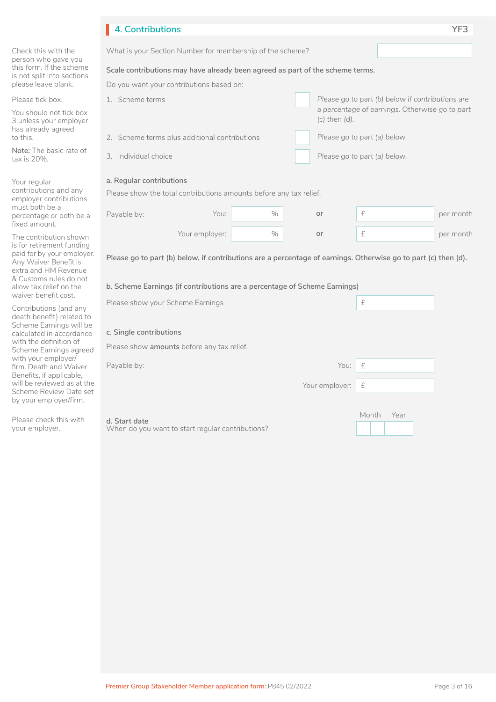|                                                                                                          | 4. Contributions                                                                                               |                |      |  |                              |           |                                                | YF3       |
|----------------------------------------------------------------------------------------------------------|----------------------------------------------------------------------------------------------------------------|----------------|------|--|------------------------------|-----------|------------------------------------------------|-----------|
| Check this with the<br>person who gave you                                                               | What is your Section Number for membership of the scheme?                                                      |                |      |  |                              |           |                                                |           |
| this form. If the scheme<br>is not split into sections                                                   | Scale contributions may have already been agreed as part of the scheme terms.                                  |                |      |  |                              |           |                                                |           |
| please leave blank.                                                                                      | Do you want your contributions based on:                                                                       |                |      |  |                              |           |                                                |           |
| Please tick box.                                                                                         | 1. Scheme terms<br>Please go to part (b) below if contributions are                                            |                |      |  |                              |           |                                                |           |
| You should not tick box<br>3 unless your employer<br>has already agreed                                  |                                                                                                                |                |      |  | $(c)$ then $(d)$ .           |           | a percentage of earnings. Otherwise go to part |           |
| to this.<br>Note: The basic rate of                                                                      | 2. Scheme terms plus additional contributions                                                                  |                |      |  | Please go to part (a) below. |           |                                                |           |
| tax is 20%.                                                                                              | 3. Individual choice                                                                                           |                |      |  | Please go to part (a) below. |           |                                                |           |
| Your regular                                                                                             | a. Regular contributions                                                                                       |                |      |  |                              |           |                                                |           |
| contributions and any<br>employer contributions                                                          | Please show the total contributions amounts before any tax relief.                                             |                |      |  |                              |           |                                                |           |
| must both be a<br>percentage or both be a<br>fixed amount.                                               | Payable by:                                                                                                    | You:           | $\%$ |  | or                           | £         |                                                | per month |
| The contribution shown                                                                                   |                                                                                                                | Your employer: | $\%$ |  | or                           | $\pounds$ |                                                | per month |
| is for retirement funding<br>paid for by your employer.<br>Any Waiver Benefit is<br>extra and HM Revenue | Please go to part (b) below, if contributions are a percentage of earnings. Otherwise go to part (c) then (d). |                |      |  |                              |           |                                                |           |
| & Customs rules do not<br>allow tax relief on the<br>waiver benefit cost.                                | b. Scheme Earnings (if contributions are a percentage of Scheme Earnings)                                      |                |      |  |                              |           |                                                |           |
| Contributions (and any                                                                                   | Please show your Scheme Earnings                                                                               |                |      |  |                              | $\pounds$ |                                                |           |
| death benefit) related to<br>Scheme Earnings will be<br>calculated in accordance                         | c. Single contributions                                                                                        |                |      |  |                              |           |                                                |           |
| with the definition of<br>Scheme Earnings agreed                                                         | Please show amounts before any tax relief.                                                                     |                |      |  |                              |           |                                                |           |
| with your employer/<br>firm. Death and Waiver<br>Benefits, if applicable,                                | Payable by:                                                                                                    |                |      |  | You:                         | £         |                                                |           |
| will be reviewed as at the<br>Scheme Review Date set<br>by your employer/firm.                           |                                                                                                                |                |      |  | Your employer:               | £         |                                                |           |
| Please check this with<br>your employer.                                                                 | d. Start date<br>When do you want to start regular contributions?                                              |                |      |  |                              | Month     | Year                                           |           |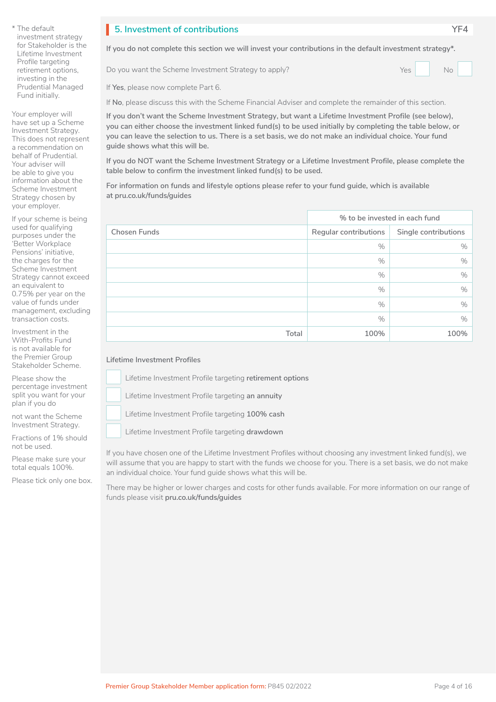Your employer will have set up a Scheme Investment Strategy. This does not represent a recommendation on behalf of Prudential. Your adviser will be able to give you information about the Scheme Investment Strategy chosen by your employer.

If your scheme is being used for qualifying purposes under the 'Better Workplace Pensions' initiative, the charges for the Scheme Investment Strategy cannot exceed an equivalent to 0.75% per year on the value of funds under management, excluding transaction costs.

Investment in the With-Profits Fund is not available for the Premier Group Stakeholder Scheme.

Please show the percentage investment split you want for your plan if you do

not want the Scheme Investment Strategy.

Fractions of 1% should not be used.

Please make sure your total equals 100%.

Please tick only one box.

# **5. Investment of contributions YF4** I

**If you do not complete this section we will invest your contributions in the default investment strategy\*.**

Do you want the Scheme Investment Strategy to apply? Yes Yes No

If **Yes**, please now complete Part 6.

If **No**, please discuss this with the Scheme Financial Adviser and complete the remainder of this section.

**If you don't want the Scheme Investment Strategy, but want a Lifetime Investment Profile (see below), you can either choose the investment linked fund(s) to be used initially by completing the table below, or you can leave the selection to us. There is a set basis, we do not make an individual choice. Your fund guide shows what this will be.**

**If you do NOT want the Scheme Investment Strategy or a Lifetime Investment Profile, please complete the table below to confirm the investment linked fund(s) to be used.**

**For information on funds and lifestyle options please refer to your fund guide, which is available at pru.co.uk/funds/guides**

|                     | % to be invested in each fund                 |      |  |
|---------------------|-----------------------------------------------|------|--|
| <b>Chosen Funds</b> | Single contributions<br>Regular contributions |      |  |
|                     | $\%$                                          | $\%$ |  |
|                     | $\%$                                          | $\%$ |  |
|                     | $\%$                                          | $\%$ |  |
|                     | $\%$                                          | $\%$ |  |
|                     | $\%$                                          | %    |  |
|                     | $\%$                                          | $\%$ |  |
| Total               | 100%                                          | 100% |  |

### **Lifetime Investment Profiles**

Lifetime Investment Profile targeting **retirement options**   $\Box$  L

Lifetime Investment Profile targeting an annuity

Lifetime Investment Profile targeting **100% cash**   $\Box$  L

Lifetime Investment Profile targeting **drawdown**   $\Box$  L

If you have chosen one of the Lifetime Investment Profiles without choosing any investment linked fund(s), we will assume that you are happy to start with the funds we choose for you. There is a set basis, we do not make an individual choice. Your fund guide shows what this will be.

There may be higher or lower charges and costs for other funds available. For more information on our range of funds please visit **pru.co.uk/funds/guides**

 $\Box$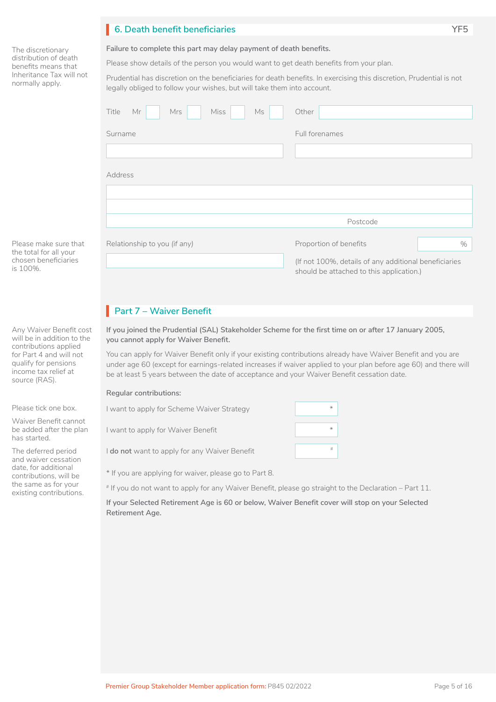# **6. Death benefit beneficiaries YF5** I

The discretionary distribution of death benefits means that Inheritance Tax will not normally apply.

#### **Failure to complete this part may delay payment of death benefits.**

Please show details of the person you would want to get death benefits from your plan.

Prudential has discretion on the beneficiaries for death benefits. In exercising this discretion, Prudential is not legally obliged to follow your wishes, but will take them into account.

| Mr<br><b>Miss</b><br>Ms<br>Title<br><b>Mrs</b> | Other                                                                                             |      |
|------------------------------------------------|---------------------------------------------------------------------------------------------------|------|
| Surname                                        | Full forenames                                                                                    |      |
|                                                |                                                                                                   |      |
| Address                                        |                                                                                                   |      |
|                                                |                                                                                                   |      |
|                                                |                                                                                                   |      |
|                                                | Postcode                                                                                          |      |
|                                                |                                                                                                   |      |
| Relationship to you (if any)                   | Proportion of benefits                                                                            | $\%$ |
|                                                | (If not 100%, details of any additional beneficiaries<br>should be attached to this application.) |      |

**Part 7 – Waiver Benefit** 

### **If you joined the Prudential (SAL) Stakeholder Scheme for the first time on or after 17 January 2005, you cannot apply for Waiver Benefit.**

You can apply for Waiver Benefit only if your existing contributions already have Waiver Benefit and you are under age 60 (except for earnings-related increases if waiver applied to your plan before age 60) and there will be at least 5 years between the date of acceptance and your Waiver Benefit cessation date.

#### **Regular contributions:**

| I want to apply for Scheme Waiver Strategy    | # |  |
|-----------------------------------------------|---|--|
| I want to apply for Waiver Benefit            |   |  |
| I do not want to apply for any Waiver Benefit | # |  |
|                                               |   |  |

\* If you are applying for waiver, please go to Part 8.

# If you do not want to apply for any Waiver Benefit, please go straight to the Declaration – Part 11.

**If your Selected Retirement Age is 60 or below, Waiver Benefit cover will stop on your Selected Retirement Age.**

Any Waiver Benefit cost

Please make sure that the total for all your chosen beneficiaries

is 100%.

will be in addition to the contributions applied for Part 4 and will not qualify for pensions income tax relief at source (RAS).

Please tick one box.

Waiver Benefit cannot be added after the plan has started.

The deferred period and waiver cessation date, for additional contributions, will be the same as for your existing contributions.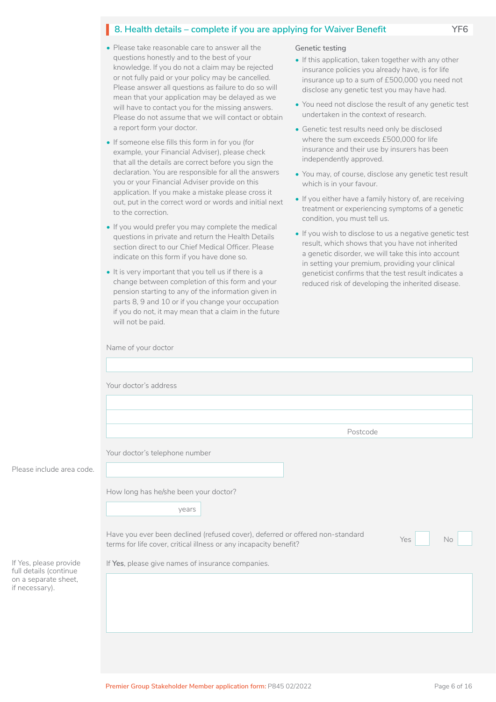# **8. Health details – complete if you are applying for Waiver Benefit YF6**

- Please take reasonable care to answer all the questions honestly and to the best of your knowledge. If you do not a claim may be rejected or not fully paid or your policy may be cancelled. Please answer all questions as failure to do so will mean that your application may be delayed as we will have to contact you for the missing answers. Please do not assume that we will contact or obtain a report form your doctor.
- If someone else fills this form in for you (for example, your Financial Adviser), please check that all the details are correct before you sign the declaration. You are responsible for all the answers you or your Financial Adviser provide on this application. If you make a mistake please cross it out, put in the correct word or words and initial next to the correction.
- If you would prefer you may complete the medical questions in private and return the Health Details section direct to our Chief Medical Officer. Please indicate on this form if you have done so.
- It is very important that you tell us if there is a change between completion of this form and your pension starting to any of the information given in parts 8, 9 and 10 or if you change your occupation if you do not, it may mean that a claim in the future will not be paid.

#### **Genetic testing**

- If this application, taken together with any other insurance policies you already have, is for life insurance up to a sum of £500,000 you need not disclose any genetic test you may have had.
- You need not disclose the result of any genetic test undertaken in the context of research.
- Genetic test results need only be disclosed where the sum exceeds £500,000 for life insurance and their use by insurers has been independently approved.
- You may, of course, disclose any genetic test result which is in your favour.
- If you either have a family history of, are receiving treatment or experiencing symptoms of a genetic condition, you must tell us.
- If you wish to disclose to us a negative genetic test result, which shows that you have not inherited a genetic disorder, we will take this into account in setting your premium, providing your clinical geneticist confirms that the test result indicates a reduced risk of developing the inherited disease.

|                                                  | Name of your doctor                                                                                                                                             |
|--------------------------------------------------|-----------------------------------------------------------------------------------------------------------------------------------------------------------------|
|                                                  |                                                                                                                                                                 |
|                                                  | Your doctor's address                                                                                                                                           |
|                                                  |                                                                                                                                                                 |
|                                                  |                                                                                                                                                                 |
|                                                  | Postcode                                                                                                                                                        |
|                                                  | Your doctor's telephone number                                                                                                                                  |
| Please include area code.                        |                                                                                                                                                                 |
|                                                  | How long has he/she been your doctor?                                                                                                                           |
|                                                  | years                                                                                                                                                           |
|                                                  | Have you ever been declined (refused cover), deferred or offered non-standard<br>Yes<br>No<br>terms for life cover, critical illness or any incapacity benefit? |
| If Yes, please provide<br>full details (continue | If Yes, please give names of insurance companies.                                                                                                               |
| on a separate sheet,<br>if necessary).           |                                                                                                                                                                 |
|                                                  |                                                                                                                                                                 |
|                                                  |                                                                                                                                                                 |
|                                                  |                                                                                                                                                                 |
|                                                  |                                                                                                                                                                 |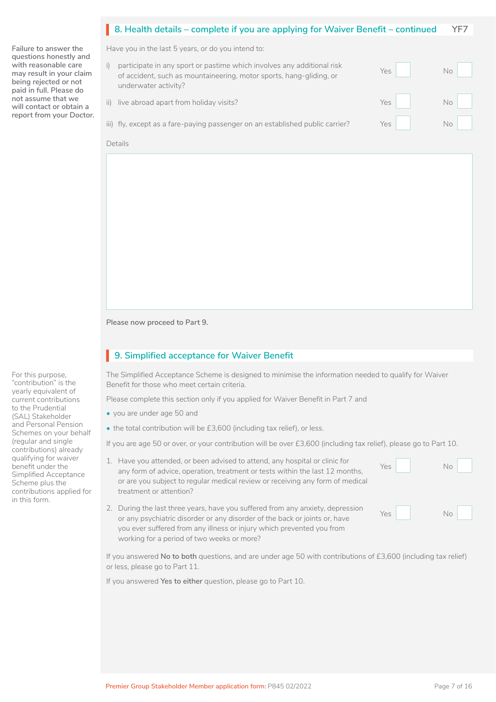|                                                                                                                                                                                                              | 8. Health details – complete if you are applying for Waiver Benefit – continued                                                                                                                                                                                                                                                                                     |                   | YF7               |
|--------------------------------------------------------------------------------------------------------------------------------------------------------------------------------------------------------------|---------------------------------------------------------------------------------------------------------------------------------------------------------------------------------------------------------------------------------------------------------------------------------------------------------------------------------------------------------------------|-------------------|-------------------|
| Failure to answer the                                                                                                                                                                                        |                                                                                                                                                                                                                                                                                                                                                                     |                   |                   |
| questions honestly and<br>with reasonable care<br>may result in your claim<br>being rejected or not<br>paid in full. Please do<br>not assume that we<br>will contact or obtain a<br>report from your Doctor. | Have you in the last 5 years, or do you intend to:<br>participate in any sport or pastime which involves any additional risk<br>i)<br>of accident, such as mountaineering, motor sports, hang-gliding, or<br>underwater activity?<br>live abroad apart from holiday visits?<br>ii)<br>iii) fly, except as a fare-paying passenger on an established public carrier? | Yes<br>Yes<br>Yes | No.<br>No.<br>No. |
|                                                                                                                                                                                                              | Details                                                                                                                                                                                                                                                                                                                                                             |                   |                   |
|                                                                                                                                                                                                              |                                                                                                                                                                                                                                                                                                                                                                     |                   |                   |

**Please now proceed to Part 9.**

# **9. Simplified acceptance for Waiver Benefit** I

The Simplified Acceptance Scheme is designed to minimise the information needed to qualify for Waiver Benefit for those who meet certain criteria.

Please complete this section only if you applied for Waiver Benefit in Part 7 and

- you are under age 50 and
- the total contribution will be £3,600 (including tax relief), or less.

If you are age 50 or over, or your contribution will be over £3,600 (including tax relief), please go to Part 10.

- 1. Have you attended, or been advised to attend, any hospital or clinic for any form of advice, operation, treatment or tests within the last 12 months, or are you subject to regular medical review or receiving any form of medical treatment or attention?
- 2. During the last three years, have you suffered from any anxiety, depression or any psychiatric disorder or any disorder of the back or joints or, have you ever suffered from any illness or injury which prevented you from working for a period of two weeks or more?

If you answered **No to both** questions, and are under age 50 with contributions of £3,600 (including tax relief) or less, please go to Part 11.

If you answered **Yes to either** question, please go to Part 10.

For this purpose, "contribution" is the yearly equivalent of current contributions to the Prudential (SAL) Stakeholder and Personal Pension Schemes on your behalf (regular and single contributions) already qualifying for waiver benefit under the Simplified Acceptance Scheme plus the contributions applied for in this form.

Yes No

□

Yes No

 $N_o$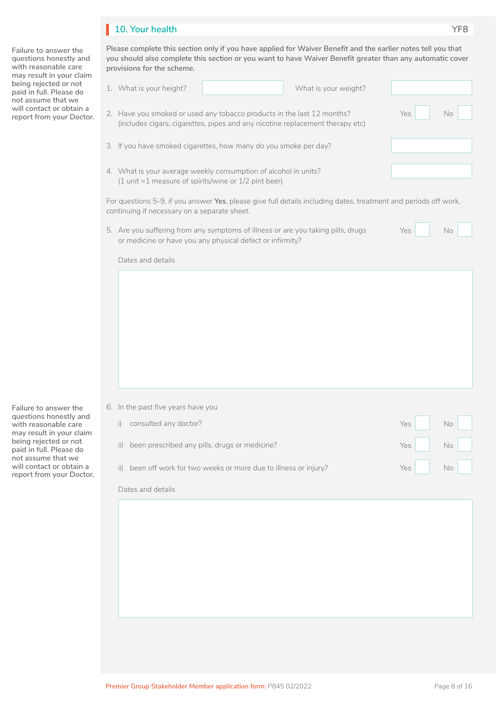# **10. Your health YF8**

**Failure to answer the questions honestly and with reasonable care may result in your claim being rejected or not paid in full. Please do not assume that we will contact or obtain a report from your Doctor.**  **Please complete this section only if you have applied for Waiver Benefit and the earlier notes tell you that you should also complete this section or you want to have Waiver Benefit greater than any automatic cover** 

| provisions for the scheme.                                                                                                                                      |                  |
|-----------------------------------------------------------------------------------------------------------------------------------------------------------------|------------------|
| What is your weight?<br>1. What is your height?                                                                                                                 |                  |
| 2. Have you smoked or used any tobacco products in the last 12 months?<br>(includes cigars, cigarettes, pipes and any nicotine replacement therapy etc)         | Yes<br><b>No</b> |
| 3. If you have smoked cigarettes, how many do you smoke per day?                                                                                                |                  |
| 4. What is your average weekly consumption of alcohol in units?<br>(1 unit =1 measure of spirits/wine or 1/2 pint beer)                                         |                  |
| For questions 5-9, if you answer Yes, please give full details including dates, treatment and periods off work,<br>continuing if necessary on a separate sheet. |                  |
| 5. Are you suffering from any symptoms of illness or are you taking pills, drugs<br>or medicine or have you any physical defect or infirmity?                   | Yes<br>No        |
| Dates and details                                                                                                                                               |                  |
|                                                                                                                                                                 |                  |
|                                                                                                                                                                 |                  |
| 6. In the past five years have you                                                                                                                              |                  |

**Failure to answer the questions honestly and with reasonable care may result in your claim being rejected or not paid in full. Please do not assume that we will contact or obtain a report from your Doctor.** 

|         | 6. In the past five years have you                            |     |    |
|---------|---------------------------------------------------------------|-----|----|
|         | consulted any doctor?                                         | Yes | No |
| ii)     | been prescribed any pills, drugs or medicine?                 | Yes | No |
| $\prod$ | been off work for two weeks or more due to illness or injury? | Yes | No |
|         | Dates and details                                             |     |    |

|  | × |
|--|---|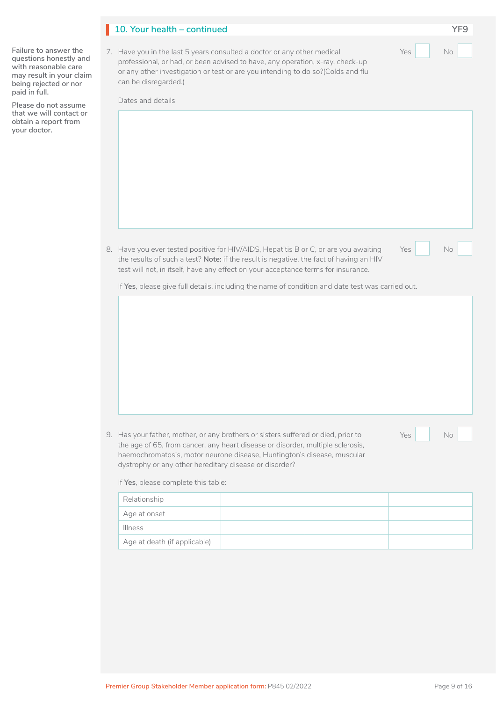| <b>Premier Group Stakeholder Member application form: P845 02/2022</b> | Page 9 of 16 |
|------------------------------------------------------------------------|--------------|

| 10. Your health – continued |  |
|-----------------------------|--|
|                             |  |

7. Have you in the last 5 years consulted a doctor or any other medical professional, or had, or been advised to have, any operation, x-ray, check-up or any other investigation or test or are you intending to do so?(Colds and flu can be disregarded.)

Dates and details

8. Have you ever tested positive for HIV/AIDS, Hepatitis B or C, or are you awaiting the results of such a test? **Note:** if the result is negative, the fact of having an HIV test will not, in itself, have any effect on your acceptance terms for insurance.

If **Yes**, please give full details, including the name of condition and date test was carried out.

9. Has your father the age of  $65$ , haemochroma<sup>®</sup> dystrophy or a

If Yes, please c

| Relationship                 |  |  |
|------------------------------|--|--|
| Age at onset                 |  |  |
| <b>Illness</b>               |  |  |
| Age at death (if applicable) |  |  |

| r, mother, or any brothers or sisters suffered or died, prior to<br>Yes<br>No<br>from cancer, any heart disease or disorder, multiple sclerosis,<br>tosis, motor neurone disease, Huntington's disease, muscular<br>ny other hereditary disease or disorder? |  |  |  |  |  |
|--------------------------------------------------------------------------------------------------------------------------------------------------------------------------------------------------------------------------------------------------------------|--|--|--|--|--|
| omplete this table:                                                                                                                                                                                                                                          |  |  |  |  |  |
|                                                                                                                                                                                                                                                              |  |  |  |  |  |
|                                                                                                                                                                                                                                                              |  |  |  |  |  |
| (if applicable)                                                                                                                                                                                                                                              |  |  |  |  |  |
|                                                                                                                                                                                                                                                              |  |  |  |  |  |

| oσ |  |  |
|----|--|--|

Yes No

**Failure to answer the questions honestly and with reasonable care may result in your claim being rejected or nor paid in full.**

**Please do not assume that we will contact or obtain a report from your doctor.**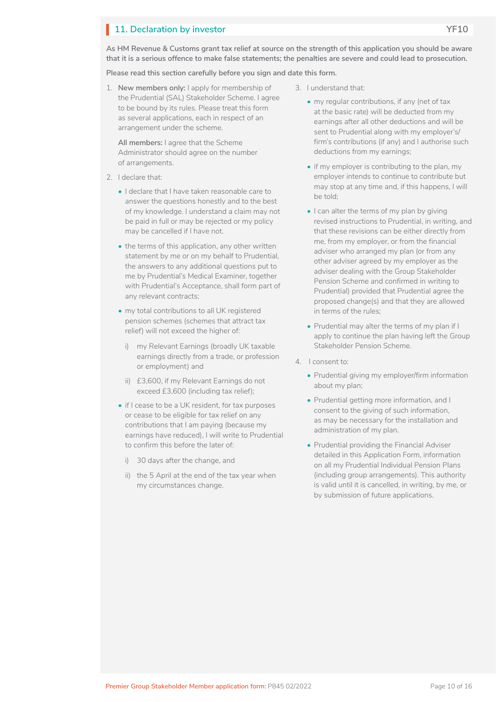# **11. Declaration by investor YF10**

**Please read this section carefully before you sign and date this form.**

1. **New members only:** I apply for membership of the Prudential (SAL) Stakeholder Scheme. I agree to be bound by its rules. Please treat this form as several applications, each in respect of an arrangement under the scheme.

**All members:** I agree that the Scheme Administrator should agree on the number of arrangements.

- 2. I declare that:
	- I declare that I have taken reasonable care to answer the questions honestly and to the best of my knowledge. I understand a claim may not be paid in full or may be rejected or my policy may be cancelled if I have not.
	- the terms of this application, any other written statement by me or on my behalf to Prudential, the answers to any additional questions put to me by Prudential's Medical Examiner, together with Prudential's Acceptance, shall form part of any relevant contracts;
	- my total contributions to all UK registered pension schemes (schemes that attract tax relief) will not exceed the higher of:
		- i) my Relevant Earnings (broadly UK taxable earnings directly from a trade, or profession or employment) and
		- ii) £3,600, if my Relevant Earnings do not exceed £3,600 (including tax relief);
	- if I cease to be a UK resident, for tax purposes or cease to be eligible for tax relief on any contributions that I am paying (because my earnings have reduced), I will write to Prudential to confirm this before the later of:
		- i) 30 days after the change, and
		- ii) the 5 April at the end of the tax year when my circumstances change.
- 3. I understand that:
	- my regular contributions, if any (net of tax at the basic rate) will be deducted from my earnings after all other deductions and will be sent to Prudential along with my employer's/ firm's contributions (if any) and I authorise such deductions from my earnings;
	- if my employer is contributing to the plan, my employer intends to continue to contribute but may stop at any time and, if this happens, I will be told;
	- I can alter the terms of my plan by giving revised instructions to Prudential, in writing, and that these revisions can be either directly from me, from my employer, or from the financial adviser who arranged my plan (or from any other adviser agreed by my employer as the adviser dealing with the Group Stakeholder Pension Scheme and confirmed in writing to Prudential) provided that Prudential agree the proposed change(s) and that they are allowed in terms of the rules;
	- Prudential may alter the terms of my plan if I apply to continue the plan having left the Group Stakeholder Pension Scheme.
- 4. I consent to:
	- Prudential giving my employer/firm information about my plan;
	- Prudential getting more information, and I consent to the giving of such information, as may be necessary for the installation and administration of my plan.
	- Prudential providing the Financial Adviser detailed in this Application Form, information on all my Prudential Individual Pension Plans (including group arrangements). This authority is valid until it is cancelled, in writing, by me, or by submission of future applications.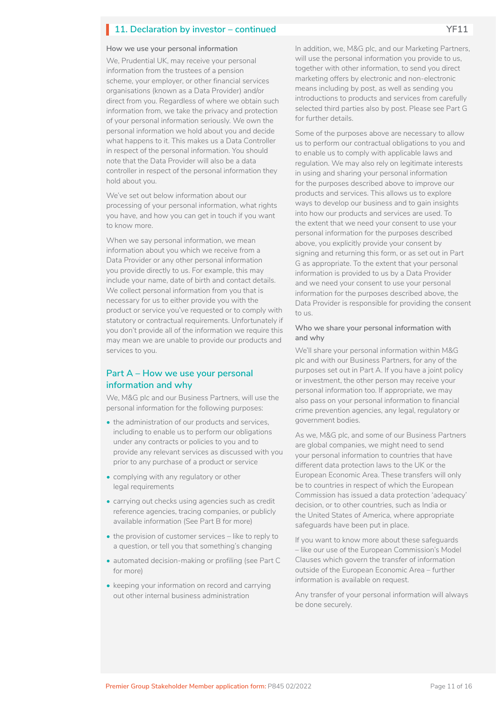# **11. Declaration by investor – continued PHI1**

#### **How we use your personal information**

We, Prudential UK, may receive your personal information from the trustees of a pension scheme, your employer, or other financial services organisations (known as a Data Provider) and/or direct from you. Regardless of where we obtain such information from, we take the privacy and protection of your personal information seriously. We own the personal information we hold about you and decide what happens to it. This makes us a Data Controller in respect of the personal information. You should note that the Data Provider will also be a data controller in respect of the personal information they hold about you.

We've set out below information about our processing of your personal information, what rights you have, and how you can get in touch if you want to know more.

When we say personal information, we mean information about you which we receive from a Data Provider or any other personal information you provide directly to us. For example, this may include your name, date of birth and contact details. We collect personal information from you that is necessary for us to either provide you with the product or service you've requested or to comply with statutory or contractual requirements. Unfortunately if you don't provide all of the information we require this may mean we are unable to provide our products and services to you.

### **Part A – How we use your personal information and why**

We, M&G plc and our Business Partners, will use the personal information for the following purposes:

- the administration of our products and services, including to enable us to perform our obligations under any contracts or policies to you and to provide any relevant services as discussed with you prior to any purchase of a product or service
- complying with any regulatory or other legal requirements
- carrying out checks using agencies such as credit reference agencies, tracing companies, or publicly available information (See Part B for more)
- the provision of customer services like to reply to a question, or tell you that something's changing
- automated decision-making or profiling (see Part C for more)
- keeping your information on record and carrying out other internal business administration

In addition, we, M&G plc, and our Marketing Partners, will use the personal information you provide to us, together with other information, to send you direct marketing offers by electronic and non-electronic means including by post, as well as sending you introductions to products and services from carefully selected third parties also by post. Please see Part G for further details.

Some of the purposes above are necessary to allow us to perform our contractual obligations to you and to enable us to comply with applicable laws and regulation. We may also rely on legitimate interests in using and sharing your personal information for the purposes described above to improve our products and services. This allows us to explore ways to develop our business and to gain insights into how our products and services are used. To the extent that we need your consent to use your personal information for the purposes described above, you explicitly provide your consent by signing and returning this form, or as set out in Part G as appropriate. To the extent that your personal information is provided to us by a Data Provider and we need your consent to use your personal information for the purposes described above, the Data Provider is responsible for providing the consent to us.

#### **Who we share your personal information with and why**

We'll share your personal information within M&G plc and with our Business Partners, for any of the purposes set out in Part A. If you have a joint policy or investment, the other person may receive your personal information too. If appropriate, we may also pass on your personal information to financial crime prevention agencies, any legal, regulatory or government bodies.

As we, M&G plc, and some of our Business Partners are global companies, we might need to send your personal information to countries that have different data protection laws to the UK or the European Economic Area. These transfers will only be to countries in respect of which the European Commission has issued a data protection 'adequacy' decision, or to other countries, such as India or the United States of America, where appropriate safeguards have been put in place.

If you want to know more about these safeguards – like our use of the European Commission's Model Clauses which govern the transfer of information outside of the European Economic Area – further information is available on request.

Any transfer of your personal information will always be done securely.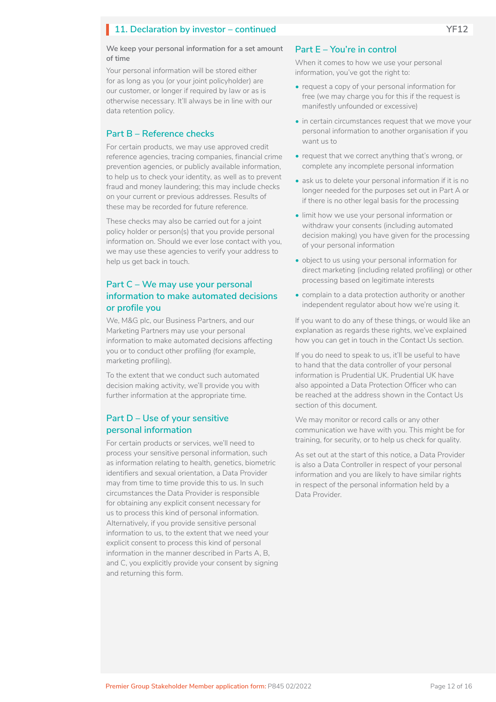# **11. Declaration by investor – continued PHI2**

#### **We keep your personal information for a set amount of time**

Your personal information will be stored either for as long as you (or your joint policyholder) are our customer, or longer if required by law or as is otherwise necessary. It'll always be in line with our data retention policy.

### **Part B – Reference checks**

For certain products, we may use approved credit reference agencies, tracing companies, financial crime prevention agencies, or publicly available information, to help us to check your identity, as well as to prevent fraud and money laundering; this may include checks on your current or previous addresses. Results of these may be recorded for future reference.

These checks may also be carried out for a joint policy holder or person(s) that you provide personal information on. Should we ever lose contact with you, we may use these agencies to verify your address to help us get back in touch.

### **Part C – We may use your personal information to make automated decisions or profile you**

We, M&G plc, our Business Partners, and our Marketing Partners may use your personal information to make automated decisions affecting you or to conduct other profiling (for example, marketing profiling).

To the extent that we conduct such automated decision making activity, we'll provide you with further information at the appropriate time.

### **Part D – Use of your sensitive personal information**

For certain products or services, we'll need to process your sensitive personal information, such as information relating to health, genetics, biometric identifiers and sexual orientation, a Data Provider may from time to time provide this to us. In such circumstances the Data Provider is responsible for obtaining any explicit consent necessary for us to process this kind of personal information. Alternatively, if you provide sensitive personal information to us, to the extent that we need your explicit consent to process this kind of personal information in the manner described in Parts A, B, and C, you explicitly provide your consent by signing and returning this form.

### **Part E – You're in control**

When it comes to how we use your personal information, you've got the right to:

- request a copy of your personal information for free (we may charge you for this if the request is manifestly unfounded or excessive)
- in certain circumstances request that we move your personal information to another organisation if you want us to
- request that we correct anything that's wrong, or complete any incomplete personal information
- ask us to delete your personal information if it is no longer needed for the purposes set out in Part A or if there is no other legal basis for the processing
- limit how we use your personal information or withdraw your consents (including automated decision making) you have given for the processing of your personal information
- object to us using your personal information for direct marketing (including related profiling) or other processing based on legitimate interests
- complain to a data protection authority or another independent regulator about how we're using it.

If you want to do any of these things, or would like an explanation as regards these rights, we've explained how you can get in touch in the Contact Us section.

If you do need to speak to us, it'll be useful to have to hand that the data controller of your personal information is Prudential UK. Prudential UK have also appointed a Data Protection Officer who can be reached at the address shown in the Contact Us section of this document.

We may monitor or record calls or any other communication we have with you. This might be for training, for security, or to help us check for quality.

As set out at the start of this notice, a Data Provider is also a Data Controller in respect of your personal information and you are likely to have similar rights in respect of the personal information held by a Data Provider.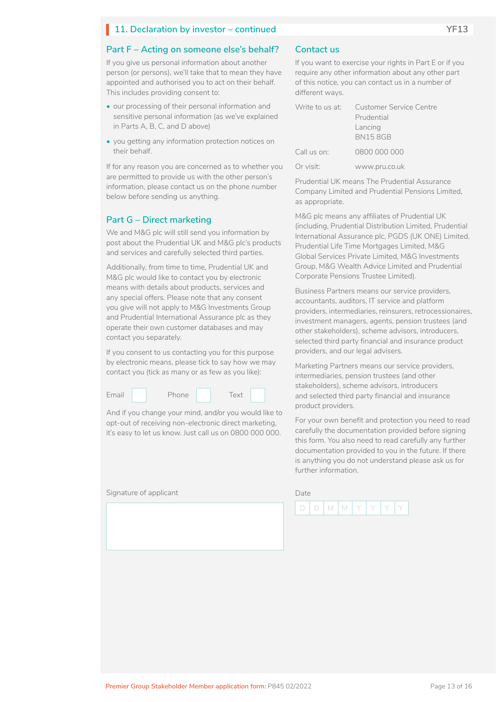# **11. Declaration by investor – continued PHIS**

### **Part F – Acting on someone else's behalf?**

If you give us personal information about another person (or persons), we'll take that to mean they have appointed and authorised you to act on their behalf. This includes providing consent to:

- our processing of their personal information and sensitive personal information (as we've explained in Parts A, B, C, and D above)
- you getting any information protection notices on their behalf.

If for any reason you are concerned as to whether you are permitted to provide us with the other person's information, please contact us on the phone number below before sending us anything.

### **Part G – Direct marketing**

We and M&G plc will still send you information by post about the Prudential UK and M&G plc's products and services and carefully selected third parties.

Additionally, from time to time, Prudential UK and M&G plc would like to contact you by electronic means with details about products, services and any special offers. Please note that any consent you give will not apply to M&G Investments Group and Prudential International Assurance plc as they operate their own customer databases and may contact you separately.

If you consent to us contacting you for this purpose by electronic means, please tick to say how we may contact you (tick as many or as few as you like):



And if you change your mind, and/or you would like to opt-out of receiving non-electronic direct marketing, it's easy to let us know. Just call us on 0800 000 000.

Signature of applicant Date Date Date

### **Contact us**

If you want to exercise your rights in Part E or if you require any other information about any other part of this notice, you can contact us in a number of different ways.

|             | Write to us at: Customer Service Centre |  |  |  |
|-------------|-----------------------------------------|--|--|--|
|             | Prudential                              |  |  |  |
|             | Lancing<br><b>BN158GB</b>               |  |  |  |
| Call us on: | 0800 000 000                            |  |  |  |
| Or visit:   | www.pru.co.uk                           |  |  |  |

Prudential UK means The Prudential Assurance Company Limited and Prudential Pensions Limited, as appropriate.

M&G plc means any affiliates of Prudential UK (including, Prudential Distribution Limited, Prudential International Assurance plc, PGDS (UK ONE) Limited, Prudential Life Time Mortgages Limited, M&G Global Services Private Limited, M&G Investments Group, M&G Wealth Advice Limited and Prudential Corporate Pensions Trustee Limited).

Business Partners means our service providers, accountants, auditors, IT service and platform providers, intermediaries, reinsurers, retrocessionaires, investment managers, agents, pension trustees (and other stakeholders), scheme advisors, introducers, selected third party financial and insurance product providers, and our legal advisers.

Marketing Partners means our service providers, intermediaries, pension trustees (and other stakeholders), scheme advisors, introducers and selected third party financial and insurance product providers.

For your own benefit and protection you need to read carefully the documentation provided before signing this form. You also need to read carefully any further documentation provided to you in the future. If there is anything you do not understand please ask us for further information.

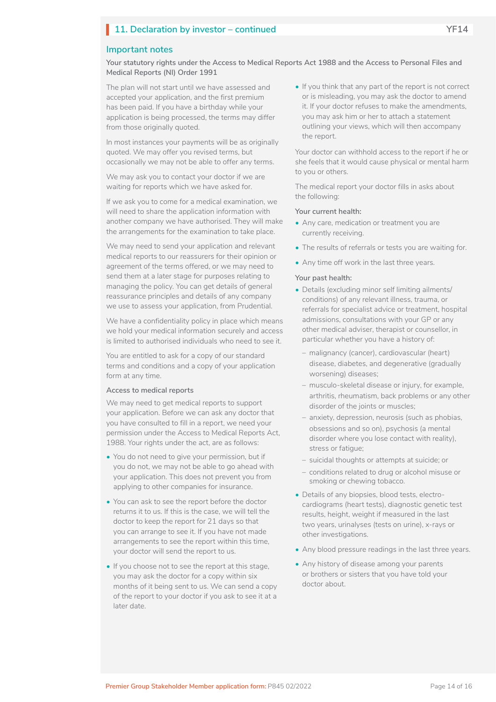# **11. Declaration by investor – continued PHI4**

### **Important notes**

**Your statutory rights under the Access to Medical Reports Act 1988 and the Access to Personal Files and Medical Reports (NI) Order 1991**

The plan will not start until we have assessed and accepted your application, and the first premium has been paid. If you have a birthday while your application is being processed, the terms may differ from those originally quoted.

In most instances your payments will be as originally quoted. We may offer you revised terms, but occasionally we may not be able to offer any terms.

We may ask you to contact your doctor if we are waiting for reports which we have asked for.

If we ask you to come for a medical examination, we will need to share the application information with another company we have authorised. They will make the arrangements for the examination to take place.

We may need to send your application and relevant medical reports to our reassurers for their opinion or agreement of the terms offered, or we may need to send them at a later stage for purposes relating to managing the policy. You can get details of general reassurance principles and details of any company we use to assess your application, from Prudential.

We have a confidentiality policy in place which means we hold your medical information securely and access is limited to authorised individuals who need to see it.

You are entitled to ask for a copy of our standard terms and conditions and a copy of your application form at any time.

#### **Access to medical reports**

We may need to get medical reports to support your application. Before we can ask any doctor that you have consulted to fill in a report, we need your permission under the Access to Medical Reports Act, 1988. Your rights under the act, are as follows:

- You do not need to give your permission, but if you do not, we may not be able to go ahead with your application. This does not prevent you from applying to other companies for insurance.
- You can ask to see the report before the doctor returns it to us. If this is the case, we will tell the doctor to keep the report for 21 days so that you can arrange to see it. If you have not made arrangements to see the report within this time, your doctor will send the report to us.
- If you choose not to see the report at this stage, you may ask the doctor for a copy within six months of it being sent to us. We can send a copy of the report to your doctor if you ask to see it at a later date.

• If you think that any part of the report is not correct or is misleading, you may ask the doctor to amend it. If your doctor refuses to make the amendments, you may ask him or her to attach a statement outlining your views, which will then accompany the report.

Your doctor can withhold access to the report if he or she feels that it would cause physical or mental harm to you or others.

The medical report your doctor fills in asks about the following:

#### **Your current health:**

- Any care, medication or treatment you are currently receiving.
- The results of referrals or tests you are waiting for.
- Any time off work in the last three years.

#### **Your past health:**

- Details (excluding minor self limiting ailments/ conditions) of any relevant illness, trauma, or referrals for specialist advice or treatment, hospital admissions, consultations with your GP or any other medical adviser, therapist or counsellor, in particular whether you have a history of:
	- malignancy (cancer), cardiovascular (heart) disease, diabetes, and degenerative (gradually worsening) diseases;
	- musculo-skeletal disease or injury, for example, arthritis, rheumatism, back problems or any other disorder of the joints or muscles;
	- anxiety, depression, neurosis (such as phobias, obsessions and so on), psychosis (a mental disorder where you lose contact with reality), stress or fatigue;
	- suicidal thoughts or attempts at suicide; or
	- conditions related to drug or alcohol misuse or smoking or chewing tobacco.
- Details of any biopsies, blood tests, electrocardiograms (heart tests), diagnostic genetic test results, height, weight if measured in the last two years, urinalyses (tests on urine), x-rays or other investigations.
- Any blood pressure readings in the last three years.
- Any history of disease among your parents or brothers or sisters that you have told your doctor about.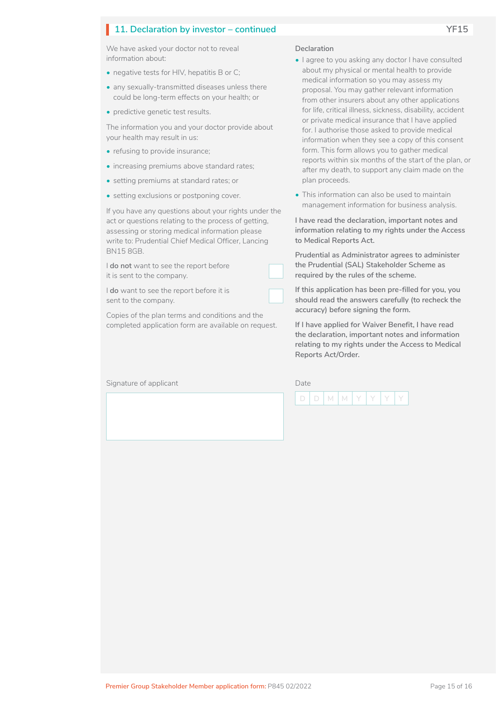# **11. Declaration by investor – continued VF15**

We have asked your doctor not to reveal information about:

- negative tests for HIV, hepatitis B or C;
- any sexually-transmitted diseases unless there could be long-term effects on your health; or
- predictive genetic test results.

The information you and your doctor provide about your health may result in us:

- refusing to provide insurance;
- increasing premiums above standard rates;
- setting premiums at standard rates; or
- setting exclusions or postponing cover.

If you have any questions about your rights under the act or questions relating to the process of getting, assessing or storing medical information please write to: Prudential Chief Medical Officer, Lancing BN15 8GB.

I **do not** want to see the report before it is sent to the company.

I **do** want to see the report before it is sent to the company.

Copies of the plan terms and conditions and the completed application form are available on request.

Signature of applicant

#### **Declaration**

 $\Box$ 

 $\Box$ 

- I agree to you asking any doctor I have consulted about my physical or mental health to provide medical information so you may assess my proposal. You may gather relevant information from other insurers about any other applications for life, critical illness, sickness, disability, accident or private medical insurance that I have applied for. I authorise those asked to provide medical information when they see a copy of this consent form. This form allows you to gather medical reports within six months of the start of the plan, or after my death, to support any claim made on the plan proceeds.
- This information can also be used to maintain management information for business analysis.

**I have read the declaration, important notes and information relating to my rights under the Access to Medical Reports Act.**

**Prudential as Administrator agrees to administer the Prudential (SAL) Stakeholder Scheme as required by the rules of the scheme.**

**If this application has been pre-filled for you, you should read the answers carefully (to recheck the accuracy) before signing the form.**

**If I have applied for Waiver Benefit, I have read the declaration, important notes and information relating to my rights under the Access to Medical Reports Act/Order.**

| ate |   |   |  |  |
|-----|---|---|--|--|
|     | ν | ν |  |  |